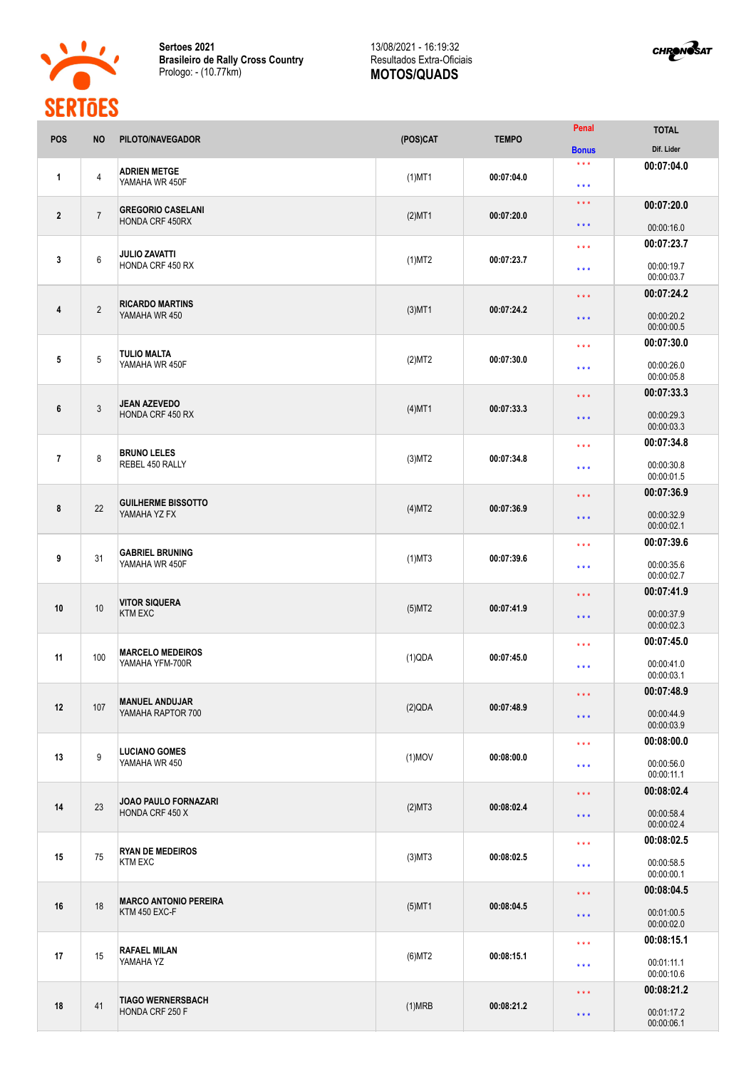

**Sertoes 2021 Brasileiro de Rally Cross Country** Prologo: - (10.77km)

## 13/08/2021 - 16:19:32 Resultados Extra-Oficiais **MOTOS/QUADS**



|                | ULINIULU                  |                                               |           |                                                            |                                          |                            |
|----------------|---------------------------|-----------------------------------------------|-----------|------------------------------------------------------------|------------------------------------------|----------------------------|
| POS            | <b>NO</b>                 | PILOTO/NAVEGADOR                              | (POS)CAT  | <b>TEMPO</b>                                               | Penal<br><b>Bonus</b>                    | <b>TOTAL</b><br>Dif. Lider |
|                |                           |                                               |           |                                                            | $***$                                    |                            |
| $\mathbf{1}$   | $\overline{4}$            | <b>ADRIEN METGE</b><br>YAMAHA WR 450F         | $(1)$ MT1 | 00:07:04.0                                                 | $\star \star \star$                      | 00:07:04.0                 |
|                |                           |                                               |           |                                                            | $\star$ $\star$ $\star$                  | 00:07:20.0                 |
| $\overline{2}$ | $\overline{7}$            | <b>GREGORIO CASELANI</b><br>HONDA CRF 450RX   | $(2)$ MT1 | 00:07:20.0                                                 | $\star \star \star$                      | 00:00:16.0                 |
|                |                           |                                               |           |                                                            | $\star \star \star$                      | 00:07:23.7                 |
| $\mathbf{3}$   | $\boldsymbol{6}$          | <b>JULIO ZAVATTI</b><br>HONDA CRF 450 RX      | $(1)$ MT2 | 00:07:23.7                                                 | $***$                                    | 00:00:19.7<br>00:00:03.7   |
|                |                           |                                               |           |                                                            | $***$                                    | 00:07:24.2                 |
| 4              | $\overline{2}$            | <b>RICARDO MARTINS</b><br>YAMAHA WR 450       | $(3)$ MT1 | 00:07:24.2                                                 | $***$                                    | 00:00:20.2<br>00:00:00.5   |
|                |                           |                                               |           |                                                            |                                          | 00:07:30.0                 |
|                |                           | TULIO MALTA                                   |           |                                                            | $* * *$                                  |                            |
| 5              | 5                         | YAMAHA WR 450F                                | (2)MT2    | 00:07:30.0                                                 | $***$                                    | 00:00:26.0<br>00:00:05.8   |
|                |                           |                                               |           |                                                            | $\star$ $\star$ $\star$                  | 00:07:33.3                 |
| 6              | $\ensuremath{\mathsf{3}}$ | JEAN AZEVEDO<br><b>HONDA CRF 450 RX</b>       | $(4)$ MT1 | 00:07:33.3                                                 | $***$                                    | 00:00:29.3<br>00:00:03.3   |
|                |                           |                                               |           |                                                            | $\star\star\star$                        | 00:07:34.8                 |
| $\overline{7}$ | 8                         | <b>BRUNO LELES</b><br>REBEL 450 RALLY         | $(3)$ MT2 | 00:07:34.8                                                 | $\star \star \star$                      | 00:00:30.8<br>00:00:01.5   |
|                |                           |                                               |           |                                                            |                                          | 00:07:36.9                 |
| 8              | 22                        | <b>GUILHERME BISSOTTO</b><br>YAMAHA YZ FX     | (4)MT2    | 00:07:36.9                                                 | $\star\star\star$<br>$\star \star \star$ | 00:00:32.9<br>00:00:02.1   |
|                |                           |                                               |           |                                                            |                                          |                            |
|                |                           | <b>GABRIEL BRUNING</b>                        |           |                                                            | $\star \star \star$                      | 00:07:39.6                 |
| 9              | 31                        | YAMAHA WR 450F                                | $(1)$ MT3 | 00:07:39.6                                                 | $***$                                    | 00:00:35.6<br>00:00:02.7   |
|                |                           | <b>VITOR SIQUERA</b><br><b>KTM EXC</b>        |           |                                                            | $***$                                    | 00:07:41.9                 |
| 10             | 10                        |                                               | $(5)$ MT2 | 00:07:41.9                                                 | $\star\star\star$                        | 00:00:37.9<br>00:00:02.3   |
|                |                           |                                               |           |                                                            |                                          | 00:07:45.0                 |
| 11             | 100                       | <b>MARCELO MEDEIROS</b>                       | (1)QDA    | 00:07:45.0                                                 | $***$                                    |                            |
|                |                           | YAMAHA YFM-700R                               |           |                                                            | $***$                                    | 00:00:41.0<br>00:00:03.1   |
|                | 107                       | <b>MANUEL ANDUJAR</b><br>YAMAHA RAPTOR 700    |           | 00:07:48.9                                                 | $\star$ $\star$ $\star$                  | 00:07:48.9                 |
| 12             |                           |                                               | (2)QDA    |                                                            | $\star\star\star$                        | 00:00:44.9                 |
|                |                           |                                               |           |                                                            |                                          | 00:00:03.9                 |
|                |                           |                                               |           | $\star\star\star$<br>00:08:00.0<br>$\star$ $\star$ $\star$ |                                          | 00:08:00.0                 |
| 13             | 9                         | <b>LUCIANO GOMES</b><br>YAMAHA WR 450         | $(1)$ MOV |                                                            |                                          | 00:00:56.0<br>00:00:11.1   |
|                | 23                        | JOAO PAULO FORNAZARI<br>HONDA CRF 450 X       |           |                                                            | $\star$ $\star$ $\star$                  | 00:08:02.4                 |
| 14             |                           |                                               | (2)MT3    | 00:08:02.4                                                 |                                          |                            |
|                |                           |                                               |           |                                                            | $\star \star \star$                      | 00:00:58.4<br>00:00:02.4   |
|                |                           |                                               |           |                                                            | $\star \star \star$                      | 00:08:02.5                 |
| 15             | 75                        | <b>RYAN DE MEDEIROS</b><br><b>KTM EXC</b>     | $(3)$ MT3 | 00:08:02.5                                                 |                                          |                            |
|                |                           |                                               |           |                                                            | $\star \star \star$                      | 00:00:58.5<br>00:00:00.1   |
|                | 18                        | <b>MARCO ANTONIO PEREIRA</b><br>KTM 450 EXC-F |           |                                                            | $\star$ $\star$ $\star$                  | 00:08:04.5                 |
| 16             |                           |                                               | $(5)$ MT1 | 00:08:04.5                                                 | $\star\star\star$                        | 00:01:00.5<br>00:00:02.0   |
|                |                           |                                               |           |                                                            | $\star \star \star$                      | 00:08:15.1                 |
| 17             | 15                        | RAFAEL MILAN<br>YAMAHA YZ                     | $(6)$ MT2 | 00:08:15.1                                                 |                                          |                            |
|                |                           |                                               |           |                                                            | $***$                                    | 00:01:11.1<br>00:00:10.6   |
|                |                           |                                               |           |                                                            |                                          | 00:08:21.2                 |
| 18             | 41                        | <b>TIAGO WERNERSBACH</b><br>HONDA CRF 250 F   | (1)MRB    | 00:08:21.2                                                 | $\star$ $\star$ $\star$                  |                            |
|                |                           |                                               |           |                                                            | $***$                                    | 00:01:17.2<br>00:00:06.1   |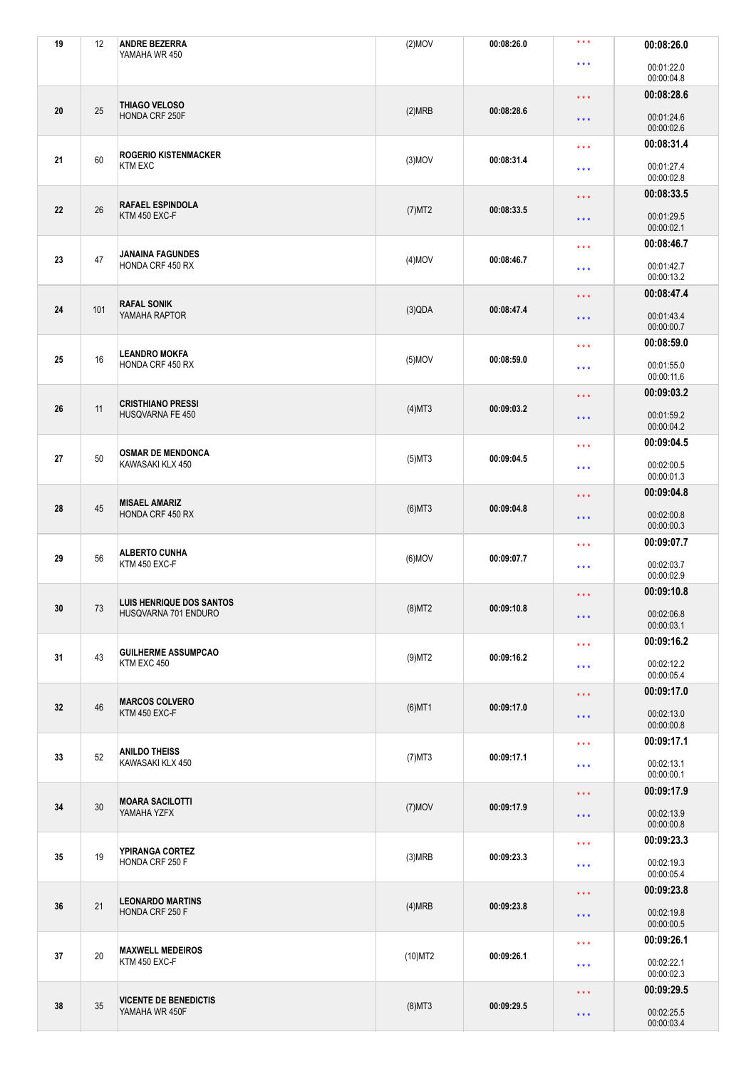| 19 | 12  | <b>ANDRE BEZERRA</b>                           | $(2)$ MOV  | 00:08:26.0 | $\star\star\star$                                                                                                 | 00:08:26.0               |
|----|-----|------------------------------------------------|------------|------------|-------------------------------------------------------------------------------------------------------------------|--------------------------|
|    |     | YAMAHA WR 450                                  |            |            | * * *                                                                                                             | 00:01:22.0<br>00:00:04.8 |
|    |     | THIAGO VELOSO<br>HONDA CRF 250F                |            |            | $\star$ $\star$ $\star$                                                                                           | 00:08:28.6               |
| 20 | 25  |                                                | (2)MRB     | 00:08:28.6 | $\star\star\star$                                                                                                 | 00:01:24.6<br>00:00:02.6 |
|    |     | <b>ROGERIO KISTENMACKER</b><br><b>KTM EXC</b>  |            |            | $\star \star \star$                                                                                               | 00:08:31.4               |
| 21 | 60  |                                                | $(3)$ MOV  | 00:08:31.4 | $***$                                                                                                             | 00:01:27.4<br>00:00:02.8 |
|    |     | <b>RAFAEL ESPINDOLA</b><br>KTM 450 EXC-F       |            |            | $\star$ $\star$ $\star$                                                                                           | 00:08:33.5               |
| 22 | 26  |                                                | (7)MT2     | 00:08:33.5 | $* * *$                                                                                                           | 00:01:29.5<br>00:00:02.1 |
|    |     | <b>JANAINA FAGUNDES</b>                        |            |            | $\star\star\star$                                                                                                 | 00:08:46.7               |
| 23 | 47  | HONDA CRF 450 RX                               | $(4)$ MOV  | 00:08:46.7 | $***$                                                                                                             | 00:01:42.7<br>00:00:13.2 |
|    |     | <b>RAFAL SONIK</b>                             |            |            | $\star$ $\star$ $\star$                                                                                           | 00:08:47.4               |
| 24 | 101 | YAMAHA RAPTOR                                  | (3)QDA     | 00:08:47.4 | $\star \star \star$                                                                                               | 00:01:43.4<br>00:00:00.7 |
|    |     | <b>LEANDRO MOKFA</b>                           |            |            | $\star\star\star$                                                                                                 | 00:08:59.0               |
| 25 | 16  | HONDA CRF 450 RX                               | $(5)$ MOV  | 00:08:59.0 | $***$                                                                                                             | 00:01:55.0<br>00:00:11.6 |
|    |     | <b>CRISTHIANO PRESSI</b><br>HUSQVARNA FE 450   |            |            | $\star$ $\star$ $\star$                                                                                           | 00:09:03.2               |
| 26 | 11  |                                                | $(4)$ MT3  | 00:09:03.2 | $\star\star\star$                                                                                                 | 00:01:59.2<br>00:00:04.2 |
|    |     | <b>OSMAR DE MENDONCA</b><br>KAWASAKI KLX 450   |            |            | $***$                                                                                                             | 00:09:04.5               |
| 27 | 50  |                                                | $(5)$ MT3  | 00:09:04.5 | $\star\star\star$                                                                                                 | 00:02:00.5<br>00:00:01.3 |
|    | 45  | <b>MISAEL AMARIZ</b><br>HONDA CRF 450 RX       |            |            | 00:09:04.8<br>$\star$ $\star$ $\star$<br>00:02:00.8<br>$* * *$<br>00:00:00.3<br>00:09:07.7<br>$\star \star \star$ |                          |
| 28 |     |                                                | $(6)$ MT3  | 00:09:04.8 |                                                                                                                   |                          |
|    | 56  | <b>ALBERTO CUNHA</b><br>KTM 450 EXC-F          |            |            |                                                                                                                   |                          |
| 29 |     |                                                | $(6)$ MOV  | 00:09:07.7 | 00:02:03.7<br>$***$<br>00:00:02.9<br>00:09:10.8<br>$\star\star\star$<br>00:02:06.8<br>$\star$ $\star$ $\star$     |                          |
|    |     | LUIS HENRIQUE DOS SANTOS                       |            |            |                                                                                                                   |                          |
| 30 | 73  | HUSQVARNA 701 ENDURO                           | $(8)$ MT2  | 00:09:10.8 |                                                                                                                   | 00:00:03.1               |
|    | 43  | <b>GUILHERME ASSUMPCAO</b><br>KTM EXC 450      |            |            | $\star\star\star$                                                                                                 | 00:09:16.2               |
| 31 |     |                                                | $(9)$ MT2  | 00:09:16.2 | $\star\star\star$                                                                                                 | 00:02:12.2<br>00:00:05.4 |
|    |     |                                                |            |            | $\star$ $\star$ $\star$                                                                                           | 00:09:17.0               |
| 32 | 46  | <b>MARCOS COLVERO</b><br>KTM 450 EXC-F         | $(6)$ MT1  | 00:09:17.0 | $\star$ $\star$ $\star$                                                                                           | 00:02:13.0               |
|    |     |                                                |            |            |                                                                                                                   | 00:00:00.8               |
| 33 | 52  | <b>ANILDO THEISS</b><br>KAWASAKI KLX 450       | $(7)$ MT3  | 00:09:17.1 | $\star\star\star$                                                                                                 | 00:09:17.1               |
|    |     |                                                |            |            | $\star\star\star$                                                                                                 | 00:02:13.1<br>00:00:00.1 |
|    | 30  | <b>MOARA SACILOTTI</b><br>YAMAHA YZFX          |            |            | $\star$ $\star$ $\star$                                                                                           | 00:09:17.9               |
| 34 |     |                                                | $(7)$ MOV  | 00:09:17.9 | $\star\star\star$                                                                                                 | 00:02:13.9<br>00:00:00.8 |
|    | 19  |                                                |            |            | $\star\star\star$                                                                                                 | 00:09:23.3               |
| 35 |     | YPIRANGA CORTEZ<br>HONDA CRF 250 F             | (3)MRB     | 00:09:23.3 | $\star\star\star$                                                                                                 | 00:02:19.3<br>00:00:05.4 |
|    |     | <b>LEONARDO MARTINS</b><br>HONDA CRF 250 F     |            |            | $\star$ $\star$ $\star$                                                                                           | 00:09:23.8               |
| 36 | 21  |                                                | (4)MRB     | 00:09:23.8 | $\star\star\star$                                                                                                 | 00:02:19.8<br>00:00:00.5 |
|    | 20  | <b>MAXWELL MEDEIROS</b><br>KTM 450 EXC-F       |            |            | $\star\star\star$                                                                                                 | 00:09:26.1               |
| 37 |     |                                                | $(10)$ MT2 | 00:09:26.1 | $\star\star\star$                                                                                                 | 00:02:22.1<br>00:00:02.3 |
| 38 | 35  | <b>VICENTE DE BENEDICTIS</b><br>YAMAHA WR 450F |            |            | $\star$ $\star$ $\star$                                                                                           | 00:09:29.5               |
|    |     |                                                | $(8)$ MT3  | 00:09:29.5 | $\star$ $\star$ $\star$                                                                                           | 00:02:25.5<br>00:00:03.4 |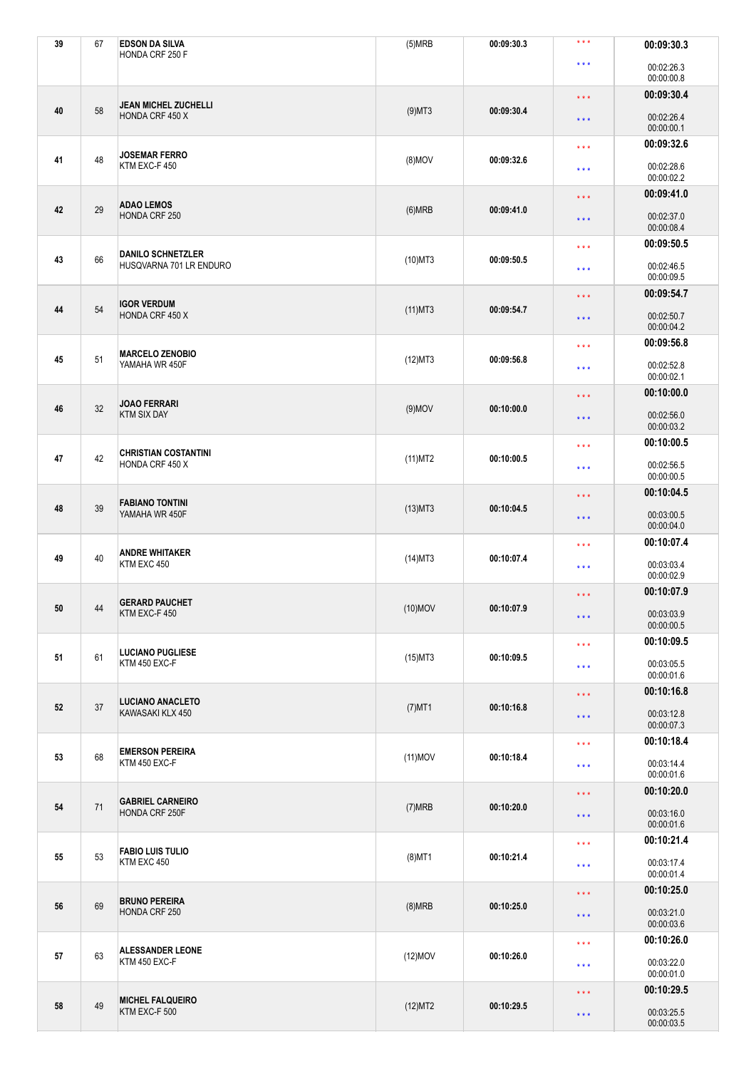| 39 | 67 | <b>EDSON DA SILVA</b>                          | (5)MRB     | 00:09:30.3                      | $\star\star\star$          | 00:09:30.3               |
|----|----|------------------------------------------------|------------|---------------------------------|----------------------------|--------------------------|
|    |    | HONDA CRF 250 F                                |            |                                 | * * *                      | 00:02:26.3<br>00:00:00.8 |
| 40 |    |                                                |            |                                 | $\star\star\star$          | 00:09:30.4               |
|    | 58 | <b>JEAN MICHEL ZUCHELLI</b><br>HONDA CRF 450 X | $(9)$ MT3  | 00:09:30.4                      | $\star$ $\star$ $\star$    | 00:02:26.4<br>00:00:00.1 |
|    |    | <b>JOSEMAR FERRO</b><br>KTM EXC-F 450          |            |                                 | $\star\star\star$          | 00:09:32.6               |
| 41 | 48 |                                                | $(8)$ MOV  | 00:09:32.6                      | $\star\star\star$          | 00:02:28.6<br>00:00:02.2 |
|    |    | <b>ADAO LEMOS</b><br>HONDA CRF 250             |            |                                 | $\star$ $\star$ $\star$    | 00:09:41.0               |
| 42 | 29 |                                                | (6)MRB     | 00:09:41.0                      | $\star\star\star$          | 00:02:37.0<br>00:00:08.4 |
|    |    | <b>DANILO SCHNETZLER</b>                       |            |                                 | $\star$ $\star$ $\star$    | 00:09:50.5               |
| 43 | 66 | HUSQVARNA 701 LR ENDURO                        | $(10)$ MT3 | 00:09:50.5                      | $\star\star\star$          | 00:02:46.5<br>00:00:09.5 |
|    |    | IGOR VERDUM                                    |            |                                 | $\star$ $\star$ $\star$    | 00:09:54.7               |
| 44 | 54 | HONDA CRF 450 X                                | $(11)$ MT3 | 00:09:54.7                      | $\star\star\star$          | 00:02:50.7<br>00:00:04.2 |
|    |    | <b>MARCELO ZENOBIO</b>                         |            |                                 | $***$                      | 00:09:56.8               |
| 45 | 51 | YAMAHA WR 450F                                 | (12)MT3    | 00:09:56.8                      | $\star\star\star$          | 00:02:52.8<br>00:00:02.1 |
|    |    | <b>JOAO FERRARI</b><br><b>KTM SIX DAY</b>      |            |                                 | $\star\star\star$          | 00:10:00.0               |
| 46 | 32 |                                                | $(9)$ MOV  | 00:10:00.0                      | $\star$ $\star$ $\star$    | 00:02:56.0<br>00:00:03.2 |
|    |    | <b>CHRISTIAN COSTANTINI</b><br>HONDA CRF 450 X |            |                                 | $\star$ $\star$ $\star$    | 00:10:00.5               |
| 47 | 42 |                                                | $(11)$ MT2 | 00:10:00.5                      | $\star\star\star$          | 00:02:56.5<br>00:00:00.5 |
|    |    | <b>FABIANO TONTINI</b><br>YAMAHA WR 450F       |            |                                 | $\star\star\star$<br>* * * | 00:10:04.5               |
| 48 | 39 |                                                | $(13)$ MT3 | 00:10:04.5                      |                            | 00:03:00.5<br>00:00:04.0 |
|    | 40 | <b>ANDRE WHITAKER</b><br>KTM EXC 450           |            |                                 | $\star\star\star$          | 00:10:07.4               |
| 49 |    |                                                | $(14)$ MT3 | 00:10:07.4                      | $\star\star\star$          | 00:03:03.4<br>00:00:02.9 |
|    |    | <b>GERARD PAUCHET</b>                          |            |                                 | $\star\star\star$          | 00:10:07.9               |
| 50 | 44 | KTM EXC-F 450                                  | $(10)$ MOV | 00:10:07.9                      | $\star\star\star$          | 00:03:03.9<br>00:00:00.5 |
|    | 61 | <b>LUCIANO PUGLIESE</b><br>KTM 450 EXC-F       |            |                                 | $\star\star\star$          | 00:10:09.5               |
| 51 |    |                                                | $(15)$ MT3 | 00:10:09.5                      | $\star\star\star$          | 00:03:05.5               |
|    |    |                                                |            |                                 | $\star\star\star$          | 00:00:01.6<br>00:10:16.8 |
| 52 | 37 | <b>LUCIANO ANACLETO</b><br>KAWASAKI KLX 450    | $(7)$ MT1  | 00:10:16.8                      |                            | 00:03:12.8               |
|    |    |                                                |            |                                 | $\star\star\star$          | 00:00:07.3               |
|    |    | <b>EMERSON PEREIRA</b>                         |            |                                 | $\star$ $\star$ $\star$    | 00:10:18.4               |
| 53 | 68 | KTM 450 EXC-F                                  | $(11)$ MOV | 00:10:18.4                      | $\star\star\star$          | 00:03:14.4<br>00:00:01.6 |
|    | 71 | <b>GABRIEL CARNEIRO</b><br>HONDA CRF 250F      |            |                                 | $\star\star\star$          | 00:10:20.0               |
| 54 |    |                                                | (7)MRB     | 00:10:20.0                      | $\star$ $\star$ $\star$    | 00:03:16.0<br>00:00:01.6 |
|    | 53 | <b>FABIO LUIS TULIO</b><br>KTM EXC 450         |            |                                 | $\star\star\star$          | 00:10:21.4               |
| 55 |    |                                                | $(8)$ MT1  | 00:10:21.4                      | $\star\star\star$          | 00:03:17.4<br>00:00:01.4 |
|    | 69 | <b>BRUNO PEREIRA</b><br>HONDA CRF 250          |            |                                 | $\star$ $\star$ $\star$    | 00:10:25.0               |
| 56 |    |                                                | (8)MRB     | 00:10:25.0                      | $\star$ $\star$ $\star$    | 00:03:21.0<br>00:00:03.6 |
|    |    | <b>ALESSANDER LEONE</b><br>KTM 450 EXC-F       |            |                                 | $\star$ $\star$ $\star$    | 00:10:26.0               |
| 57 | 63 |                                                | $(12)$ MOV | 00:10:26.0<br>$\star\star\star$ | 00:03:22.0<br>00:00:01.0   |                          |
| 58 | 49 | <b>MICHEL FALQUEIRO</b><br>KTM EXC-F 500       |            | 00:10:29.5                      | $\star$ $\star$ $\star$    | 00:10:29.5               |
|    |    |                                                | (12)MT2    |                                 | $\star\star\star$          | 00:03:25.5<br>00:00:03.5 |